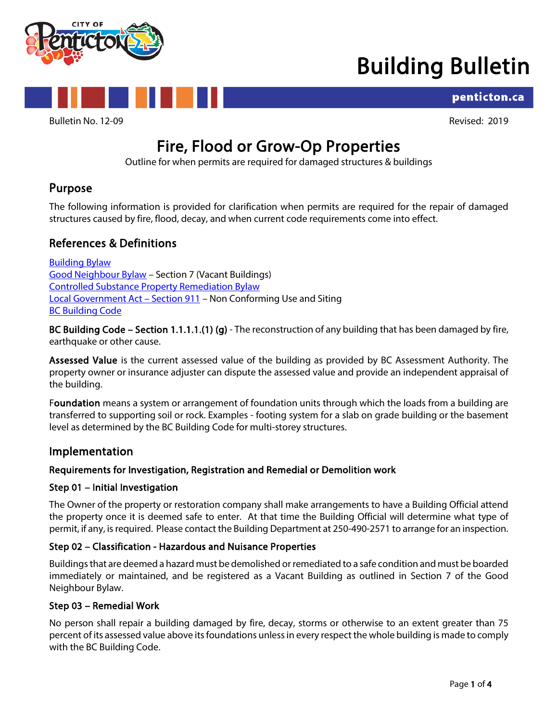

## Building Bulletin



Bulletin No. 12-09 Revised: 2019

penticton.ca

# Fire, Flood or Grow-Op Properties<br>Outline for when permits are required for damaged structures & buildings

## Purpose

The following information is provided for clarification when permits are required for the repair of damaged structures caused by fire, flood, decay, and when current code requirements come into effect.

## References & Definitions

[Building Bylaw](https://www.penticton.ca/sites/default/files/uploads/bylaws/2021-21%20Building%20Bylaw%20-%20searchable%20for%20website.pdf) [Good Neighbour Bylaw](https://www.penticton.ca/sites/default/files/uploads/bylaws/5030%20Good%20Neighour%20Bylaw%20-%20Consolidated%20for%20website.pdf) – Section 7 (Vacant Buildings) [Controlled Substance Property Remediation Bylaw](https://www.penticton.ca/sites/default/files/uploads/bylaws/Controlled%20Substance%20Property%20Remediation%20Bylaw%202004-71.pdf) [Local Government Act –](https://www.bclaws.gov.bc.ca/civix/document/id/consol5/consol5/96323_26) Section 911 – Non Conforming Use and Siting **[BC Building Code](https://www.bcpublications.ca/BCPublications/)** 

BC Building Code – Section 1.1.1.1.(1) (g) - The reconstruction of any building that has been damaged by fire, earthquake or other cause.

Assessed Value is the current assessed value of the building as provided by BC Assessment Authority. The property owner or insurance adjuster can dispute the assessed value and provide an independent appraisal of the building.

Foundation means a system or arrangement of foundation units through which the loads from a building are transferred to supporting soil or rock. Examples - footing system for a slab on grade building or the basement level as determined by the BC Building Code for multi-storey structures.

## Implementation

### Requirements for Investigation, Registration and Remedial or Demolition work

#### Step 01 – Initial Investigation

The Owner of the property or restoration company shall make arrangements to have a Building Official attend the property once it is deemed safe to enter. At that time the Building Official will determine what type of permit, if any, is required. Please contact the Building Department at 250-490-2571 to arrange for an inspection.

#### Step 02 – Classification - Hazardous and Nuisance Properties

Buildings that are deemed a hazard must be demolished or remediated to a safe condition and must be boarded immediately or maintained, and be registered as a Vacant Building as outlined in Section 7 of the Good Neighbour Bylaw.

#### Step 03 – Remedial Work

No person shall repair a building damaged by fire, decay, storms or otherwise to an extent greater than 75 percent of its assessed value above its foundations unless in every respect the whole building is made to comply with the BC Building Code.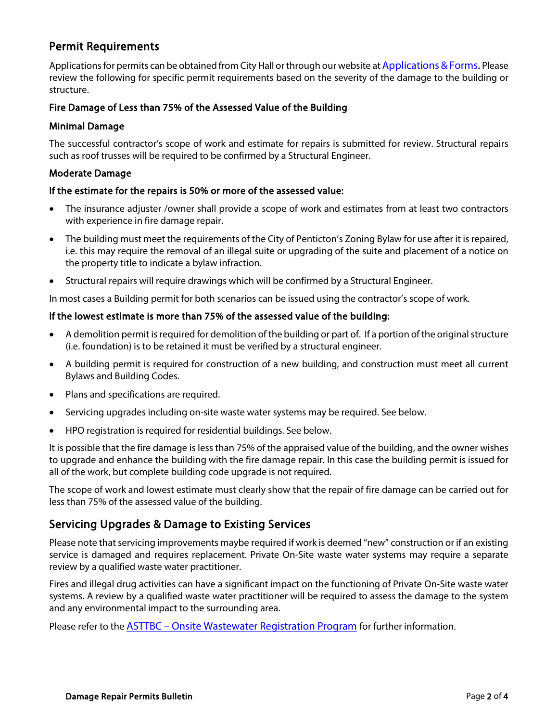## Permit Requirements

Applications for permits can be obtained from City Hall or through our website a[t Applications & Forms.](https://www.penticton.ca/EN/main/departments/building/applications-and-forms.html) Please review the following for specific permit requirements based on the severity of the damage to the building or structure.

#### Fire Damage of Less than 75% of the Assessed Value of the Building

#### Minimal Damage

The successful contractor's scope of work and estimate for repairs is submitted for review. Structural repairs such as roof trusses will be required to be confirmed by a Structural Engineer.

#### Moderate Damage

#### If the estimate for the repairs is 50% or more of the assessed value:

- The insurance adjuster /owner shall provide a scope of work and estimates from at least two contractors with experience in fire damage repair.
- The building must meet the requirements of the City of Penticton's Zoning Bylaw for use after it is repaired, i.e. this may require the removal of an illegal suite or upgrading of the suite and placement of a notice on the property title to indicate a bylaw infraction.
- Structural repairs will require drawings which will be confirmed by a Structural Engineer.

In most cases a Building permit for both scenarios can be issued using the contractor's scope of work.

#### If the lowest estimate is more than 75% of the assessed value of the building:

- A demolition permit is required for demolition of the building or part of. If a portion of the original structure (i.e. foundation) is to be retained it must be verified by a structural engineer.
- A building permit is required for construction of a new building, and construction must meet all current Bylaws and Building Codes.
- Plans and specifications are required.
- Servicing upgrades including on-site waste water systems may be required. See below.
- HPO registration is required for residential buildings. See below.

It is possible that the fire damage is less than 75% of the appraised value of the building, and the owner wishes to upgrade and enhance the building with the fire damage repair. In this case the building permit is issued for all of the work, but complete building code upgrade is not required.

The scope of work and lowest estimate must clearly show that the repair of fire damage can be carried out for less than 75% of the assessed value of the building.

## Servicing Upgrades & Damage to Existing Services

Please note that servicing improvements maybe required if work is deemed "new" construction or if an existing service is damaged and requires replacement. Private On-Site waste water systems may require a separate review by a qualified waste water practitioner.

Fires and illegal drug activities can have a significant impact on the functioning of Private On-Site waste water systems. A review by a qualified waste water practitioner will be required to assess the damage to the system and any environmental impact to the surrounding area.

Please refer to the **ASTTBC** – [Onsite Wastewater Registration Program](http://owrp.asttbc.org/p/index.php) for further information.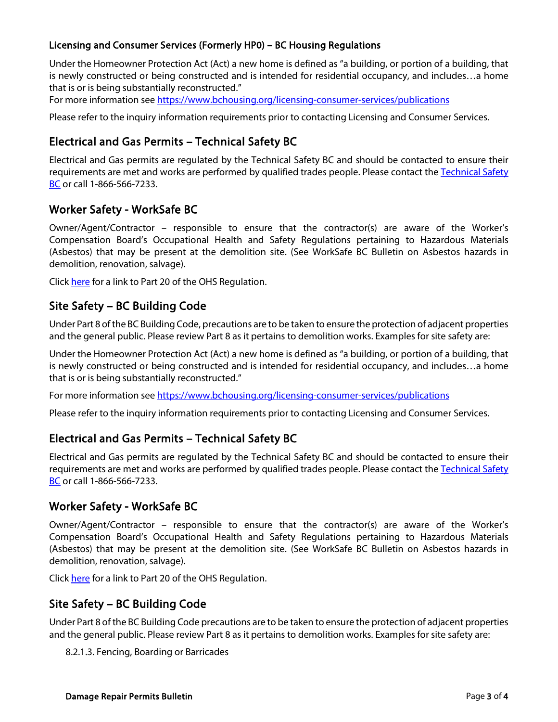#### Licensing and Consumer Services (Formerly HP0) – BC Housing Regulations

Under the Homeowner Protection Act (Act) a new home is defined as "a building, or portion of a building, that is newly constructed or being constructed and is intended for residential occupancy, and includes…a home that is or is being substantially reconstructed."

For more information se[e https://www.bchousing.org/licensing-consumer-services/publications](https://www.bchousing.org/licensing-consumer-services/publications)

Please refer to the inquiry information requirements prior to contacting Licensing and Consumer Services.

## Electrical and Gas Permits – Technical Safety BC

Electrical and Gas permits are regulated by the Technical Safety BC and should be contacted to ensure their requirements are met and works are performed by qualified trades people. Please contact the [Technical Safety](https://www.technicalsafetybc.ca/)  [BC](https://www.technicalsafetybc.ca/) or call 1-866-566-7233.

## Worker Safety - WorkSafe BC

Owner/Agent/Contractor – responsible to ensure that the contractor(s) are aware of the Worker's Compensation Board's Occupational Health and Safety Regulations pertaining to Hazardous Materials (Asbestos) that may be present at the demolition site. (See WorkSafe BC Bulletin on Asbestos hazards in demolition, renovation, salvage).

Click [here](https://www.worksafebc.com/en/law-policy/occupational-health-safety/searchable-ohs-regulation/ohs-regulation/part-20-construction-excavation-and-demolition) for a link to Part 20 of the OHS Regulation.

## Site Safety – BC Building Code

Under Part 8 of the BC Building Code, precautions are to be taken to ensure the protection of adjacent properties and the general public. Please review Part 8 as it pertains to demolition works. Examples for site safety are:

Under the Homeowner Protection Act (Act) a new home is defined as "a building, or portion of a building, that is newly constructed or being constructed and is intended for residential occupancy, and includes…a home that is or is being substantially reconstructed."

For more information se[e https://www.bchousing.org/licensing-consumer-services/publications](https://www.bchousing.org/licensing-consumer-services/publications)

Please refer to the inquiry information requirements prior to contacting Licensing and Consumer Services.

## Electrical and Gas Permits – Technical Safety BC

Electrical and Gas permits are regulated by the Technical Safety BC and should be contacted to ensure their requirements are met and works are performed by qualified trades people. Please contact the Technical Safety [BC](https://www.technicalsafetybc.ca/) or call 1-866-566-7233.

### Worker Safety - WorkSafe BC

Owner/Agent/Contractor – responsible to ensure that the contractor(s) are aware of the Worker's Compensation Board's Occupational Health and Safety Regulations pertaining to Hazardous Materials (Asbestos) that may be present at the demolition site. (See WorkSafe BC Bulletin on Asbestos hazards in demolition, renovation, salvage).

Click [here](https://www.worksafebc.com/en/law-policy/occupational-health-safety/searchable-ohs-regulation/ohs-regulation/part-20-construction-excavation-and-demolition) for a link to Part 20 of the OHS Regulation.

## Site Safety – BC Building Code

Under Part 8 of the BC Building Code precautions are to be taken to ensure the protection of adjacent properties and the general public. Please review Part 8 as it pertains to demolition works. Examples for site safety are:

8.2.1.3. Fencing, Boarding or Barricades